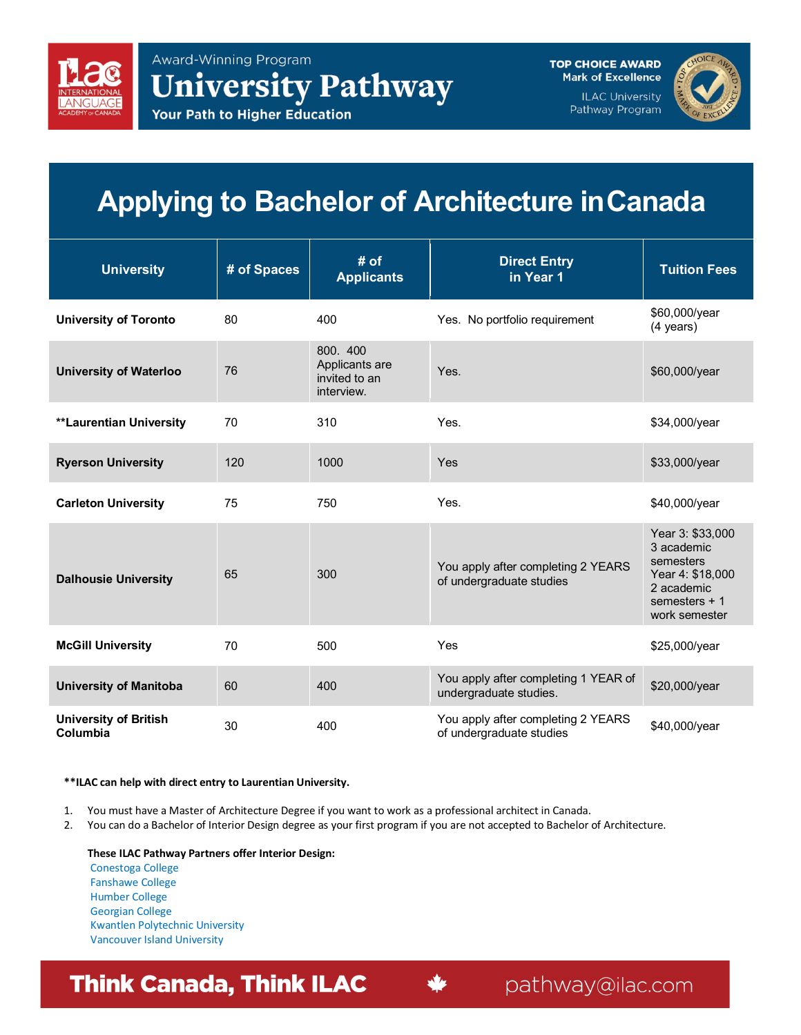

**TOP CHOICE AWARD Mark of Excellence ILAC University** Pathway Program



## **Applying to Bachelor of Architecture inCanada**

| <b>University</b>                        | # of Spaces | # of<br><b>Applicants</b>                                 | <b>Direct Entry</b><br>in Year 1                               | <b>Tuition Fees</b>                                                                                              |
|------------------------------------------|-------------|-----------------------------------------------------------|----------------------------------------------------------------|------------------------------------------------------------------------------------------------------------------|
| <b>University of Toronto</b>             | 80          | 400                                                       | Yes. No portfolio requirement                                  | \$60,000/year<br>$(4 \text{ years})$                                                                             |
| <b>University of Waterloo</b>            | 76          | 800. 400<br>Applicants are<br>invited to an<br>interview. | Yes.                                                           | \$60,000/year                                                                                                    |
| <b>**Laurentian University</b>           | 70          | 310                                                       | Yes.                                                           | \$34,000/year                                                                                                    |
| <b>Ryerson University</b>                | 120         | 1000                                                      | Yes                                                            | \$33,000/year                                                                                                    |
| <b>Carleton University</b>               | 75          | 750                                                       | Yes.                                                           | \$40,000/year                                                                                                    |
| <b>Dalhousie University</b>              | 65          | 300                                                       | You apply after completing 2 YEARS<br>of undergraduate studies | Year 3: \$33,000<br>3 academic<br>semesters<br>Year 4: \$18,000<br>2 academic<br>semesters $+1$<br>work semester |
| <b>McGill University</b>                 | 70          | 500                                                       | Yes                                                            | \$25,000/year                                                                                                    |
| <b>University of Manitoba</b>            | 60          | 400                                                       | You apply after completing 1 YEAR of<br>undergraduate studies. | \$20,000/year                                                                                                    |
| <b>University of British</b><br>Columbia | 30          | 400                                                       | You apply after completing 2 YEARS<br>of undergraduate studies | \$40,000/year                                                                                                    |

## **\*\*ILAC can help with direct entry to Laurentian University.**

- 1. You must have a Master of Architecture Degree if you want to work as a professional architect in Canada.
- 2. You can do a Bachelor of Interior Design degree as your first program if you are not accepted to Bachelor of Architecture.

**These ILAC Pathway Partners offer Interior Design:** Conestoga College Fanshawe College Humber College Georgian College Kwantlen Polytechnic University Vancouver Island University

## **Think Canada, Think ILAC**

pathway@ilac.com